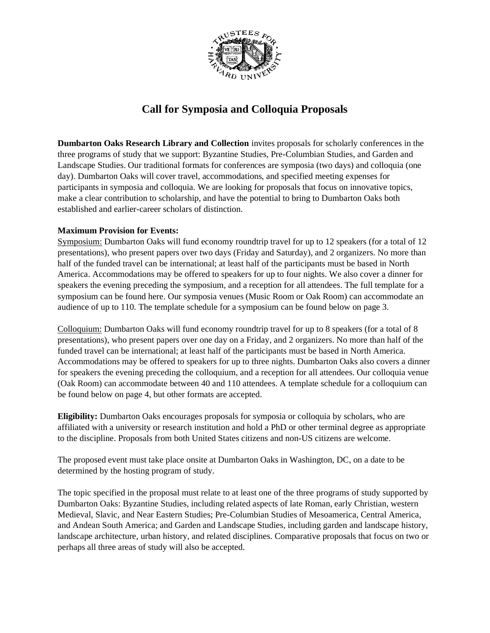

## **Call for Symposia and Colloquia Proposals**

**Dumbarton Oaks Research Library and Collection** invites proposals for scholarly conferences in the three programs of study that we support: Byzantine Studies, Pre-Columbian Studies, and Garden and Landscape Studies. Our traditional formats for conferences are symposia (two days) and colloquia (one day). Dumbarton Oaks will cover travel, accommodations, and specified meeting expenses for participants in symposia and colloquia. We are looking for proposals that focus on innovative topics, make a clear contribution to scholarship, and have the potential to bring to Dumbarton Oaks both established and earlier-career scholars of distinction.

#### **Maximum Provision for Events:**

Symposium: Dumbarton Oaks will fund economy roundtrip travel for up to 12 speakers (for a total of 12 presentations), who present papers over two days (Friday and Saturday), and 2 organizers. No more than half of the funded travel can be international; at least half of the participants must be based in North America. Accommodations may be offered to speakers for up to four nights. We also cover a dinner for speakers the evening preceding the symposium, and a reception for all attendees. The full template for a symposium can be found here. Our symposia venues (Music Room or Oak Room) can accommodate an audience of up to 110. The template schedule for a symposium can be found below on page 3.

Colloquium: Dumbarton Oaks will fund economy roundtrip travel for up to 8 speakers (for a total of 8 presentations), who present papers over one day on a Friday, and 2 organizers. No more than half of the funded travel can be international; at least half of the participants must be based in North America. Accommodations may be offered to speakers for up to three nights. Dumbarton Oaks also covers a dinner for speakers the evening preceding the colloquium, and a reception for all attendees. Our colloquia venue (Oak Room) can accommodate between 40 and 110 attendees. A template schedule for a colloquium can be found below on page 4, but other formats are accepted.

**Eligibility:** Dumbarton Oaks encourages proposals for symposia or colloquia by scholars, who are affiliated with a university or research institution and hold a PhD or other terminal degree as appropriate to the discipline. Proposals from both United States citizens and non-US citizens are welcome.

The proposed event must take place onsite at Dumbarton Oaks in Washington, DC, on a date to be determined by the hosting program of study.

The topic specified in the proposal must relate to at least one of the three programs of study supported by Dumbarton Oaks: Byzantine Studies, including related aspects of late Roman, early Christian, western Medieval, Slavic, and Near Eastern Studies; Pre-Columbian Studies of Mesoamerica, Central America, and Andean South America; and Garden and Landscape Studies, including garden and landscape history, landscape architecture, urban history, and related disciplines. Comparative proposals that focus on two or perhaps all three areas of study will also be accepted.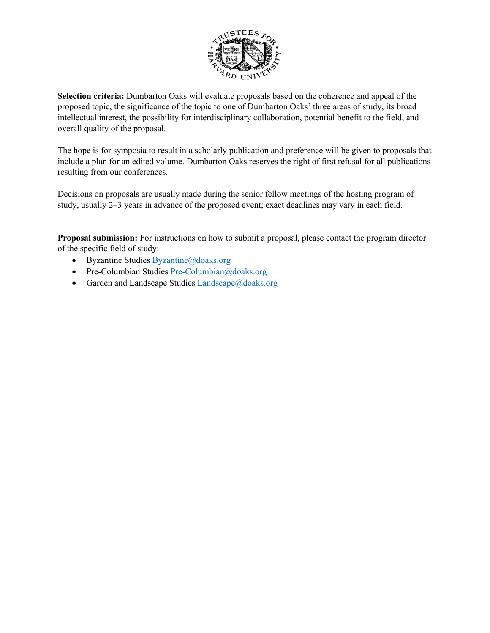

**Selection criteria:** Dumbarton Oaks will evaluate proposals based on the coherence and appeal of the proposed topic, the significance of the topic to one of Dumbarton Oaks' three areas of study, its broad intellectual interest, the possibility for interdisciplinary collaboration, potential benefit to the field, and overall quality of the proposal.

The hope is for symposia to result in a scholarly publication and preference will be given to proposals that include a plan for an edited volume. Dumbarton Oaks reserves the right of first refusal for all publications resulting from our conferences.

Decisions on proposals are usually made during the senior fellow meetings of the hosting program of study, usually 2–3 years in advance of the proposed event; exact deadlines may vary in each field.

**Proposal submission:** For instructions on how to submit a proposal, please contact the program director of the specific field of study:

- Byzantine Studies Byzantine@doaks.org
- Pre-Columbian Studies Pre-Columbian@doaks.org
- Garden and Landscape Studies  $L$ andscape@doaks.org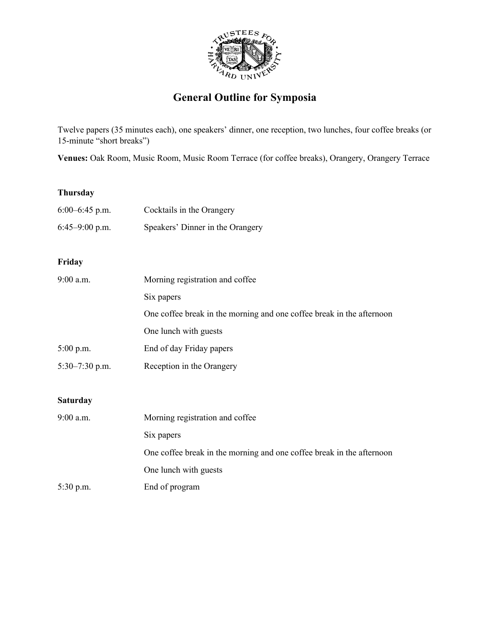

# **General Outline for Symposia**

Twelve papers (35 minutes each), one speakers' dinner, one reception, two lunches, four coffee breaks (or 15-minute "short breaks")

**Venues:** Oak Room, Music Room, Music Room Terrace (for coffee breaks), Orangery, Orangery Terrace

#### **Thursday**

| $6:00-6:45$ p.m. | Cocktails in the Orangery                                             |  |
|------------------|-----------------------------------------------------------------------|--|
| $6:45-9:00$ p.m. | Speakers' Dinner in the Orangery                                      |  |
| Friday           |                                                                       |  |
|                  |                                                                       |  |
| 9:00 a.m.        | Morning registration and coffee                                       |  |
|                  | Six papers                                                            |  |
|                  | One coffee break in the morning and one coffee break in the afternoon |  |
|                  | One lunch with guests                                                 |  |
| $5:00$ p.m.      | End of day Friday papers                                              |  |
| $5:30-7:30$ p.m. | Reception in the Orangery                                             |  |
|                  |                                                                       |  |
| <b>Saturday</b>  |                                                                       |  |
| 9:00 a.m.        | Morning registration and coffee                                       |  |
|                  | Six papers                                                            |  |
|                  | One coffee break in the morning and one coffee break in the afternoon |  |
|                  | One lunch with guests                                                 |  |
| 5:30 p.m.        | End of program                                                        |  |